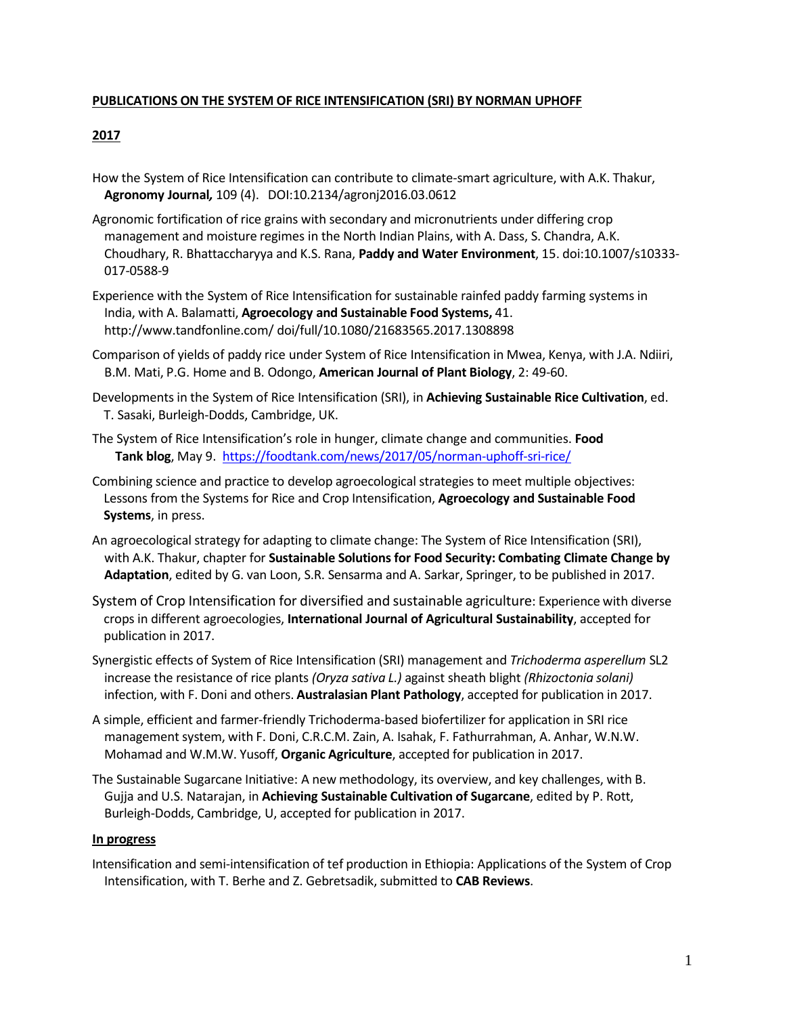#### **PUBLICATIONS ON THE SYSTEM OF RICE INTENSIFICATION (SRI) BY NORMAN UPHOFF**

### **2017**

- How the System of Rice Intensification can contribute to climate-smart agriculture, with A.K. Thakur, **Agronomy Journal***,* 109 (4). DOI:10.2134/agronj2016.03.0612
- Agronomic fortification of rice grains with secondary and micronutrients under differing crop management and moisture regimes in the North Indian Plains, with A. Dass, S. Chandra, A.K. Choudhary, R. Bhattaccharyya and K.S. Rana, **Paddy and Water Environment**, 15. doi:10.1007/s10333- 017-0588-9
- Experience with the System of Rice Intensification for sustainable rainfed paddy farming systems in India, with A. Balamatti, **Agroecology and Sustainable Food Systems,** [41.](http://www.tandfonline.com/) <http://www.tandfonline.com/> doi/full/10.1080/21683565.2017.1308898
- Comparison of yields of paddy rice under System of Rice Intensification in Mwea, Kenya, with J.A. Ndiiri, B.M. Mati, P.G. Home and B. Odongo, **American Journal of Plant Biology**, 2: 49-60.
- Developments in the System of Rice Intensification (SRI), in **Achieving Sustainable Rice Cultivation**, ed. T. Sasaki, Burleigh-Dodds, Cambridge, UK.
- The System of Rice Intensification's role in hunger, climate change and communities. **Food Tank blog**, May 9. https://foodtank.com/news/2017/05/norman-uphoff-sri-rice/
- Combining science and practice to develop agroecological strategies to meet multiple objectives: Lessons from the Systems for Rice and Crop Intensification, **Agroecology and Sustainable Food Systems**, in press.
- An agroecological strategy for adapting to climate change: The System of Rice Intensification (SRI), with A.K. Thakur, chapter for **Sustainable Solutions for Food Security: Combating Climate Change by Adaptation**, edited by G. van Loon, S.R. Sensarma and A. Sarkar, Springer, to be published in 2017.
- System of Crop Intensification for diversified and sustainable agriculture: Experience with diverse crops in different agroecologies, **International Journal of Agricultural Sustainability**, accepted for publication in 2017.
- Synergistic effects of System of Rice Intensification (SRI) management and *Trichoderma asperellum* SL2 increase the resistance of rice plants *(Oryza sativa L.)* against sheath blight *(Rhizoctonia solani)* infection, with F. Doni and others. **Australasian Plant Pathology**, accepted for publication in 2017.
- A simple, efficient and farmer-friendly Trichoderma-based biofertilizer for application in SRI rice management system, with F. Doni, C.R.C.M. Zain, A. Isahak, F. Fathurrahman, A. Anhar, W.N.W. Mohamad and W.M.W. Yusoff, **Organic Agriculture**, accepted for publication in 2017.
- The Sustainable Sugarcane Initiative: A new methodology, its overview, and key challenges, with B. Gujja and U.S. Natarajan, in **Achieving Sustainable Cultivation of Sugarcane**, edited by P. Rott, Burleigh-Dodds, Cambridge, U, accepted for publication in 2017.

#### **In progress**

Intensification and semi-intensification of tef production in Ethiopia: Applications of the System of Crop Intensification, with T. Berhe and Z. Gebretsadik, submitted to **CAB Reviews**.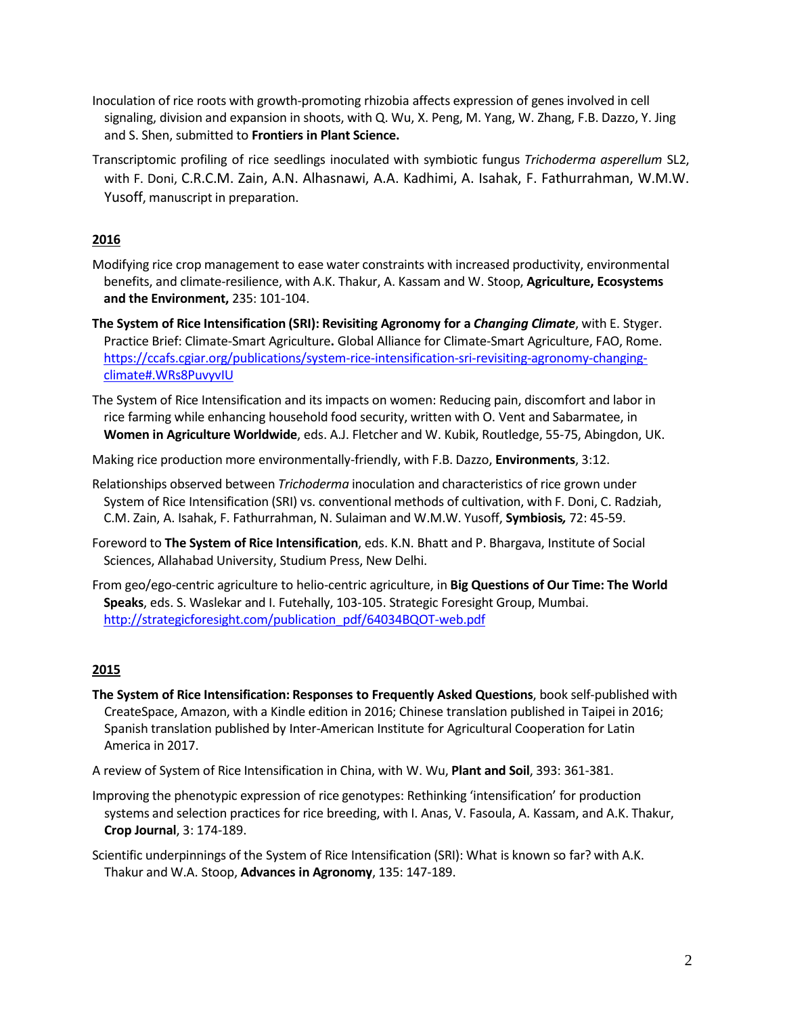- Inoculation of rice roots with growth-promoting rhizobia affects expression of genes involved in cell signaling, division and expansion in shoots, with Q. Wu, X. Peng, M. Yang, W. Zhang, F.B. Dazzo, Y. Jing and S. Shen, submitted to **Frontiers in Plant Science.**
- Transcriptomic profiling of rice seedlings inoculated with symbiotic fungus *Trichoderma asperellum* SL2, with F. Doni, C.R.C.M. Zain, A.N. Alhasnawi, A.A. Kadhimi, A. Isahak, F. Fathurrahman, W.M.W. Yusoff, manuscript in preparation.

- Modifying rice crop management to ease water constraints with increased productivity, environmental benefits, and climate-resilience, with A.K. Thakur, A. Kassam and W. Stoop, **Agriculture, Ecosystems and the Environment,** 235: 101-104.
- **The System of Rice Intensification (SRI): Revisiting Agronomy for a** *Changing Climate*, with E. Styger. Practice Brief: Climate-Smart Agriculture**.** Global Alliance for Climate-Smart Agriculture, FAO, Rome. https://ccafs.cgiar.org/publications/system-rice-intensification-sri-revisiting-agronomy-changingclimate#.WRs8PuvyvIU
- The System of Rice Intensification and its impacts on women: Reducing pain, discomfort and labor in rice farming while enhancing household food security, written with O. Vent and Sabarmatee, in **Women in Agriculture Worldwide**, eds. A.J. Fletcher and W. Kubik, Routledge, 55-75, Abingdon, UK.

Making rice production more environmentally-friendly, with F.B. Dazzo, **Environments**, 3:12.

- Relationships observed between *Trichoderma* inoculation and characteristics of rice grown under System of Rice Intensification (SRI) vs. conventional methods of cultivation, with F. Doni, C. Radziah, C.M. Zain, A. Isahak, F. Fathurrahman, N. Sulaiman and W.M.W. Yusoff, **Symbiosis***,* 72: 45-59.
- Foreword to **The System of Rice Intensification**, eds. K.N. Bhatt and P. Bhargava, Institute of Social Sciences, Allahabad University, Studium Press, New Delhi.
- From geo/ego-centric agriculture to helio-centric agriculture, in **Big Questions of Our Time: The World Speaks**, eds. S. Waslekar and I. Futehally, 103-105. Strategic Foresight Group, Mumbai. [http://strategicforesight.com/publication\\_pdf/64034BQOT-web.pdf](http://strategicforesight.com/publication_pdf/64034BQOT-web.pdf)

## **2015**

- **The System of Rice Intensification: Responses to Frequently Asked Questions**, book self-published with CreateSpace, Amazon, with a Kindle edition in 2016; Chinese translation published in Taipei in 2016; Spanish translation published by Inter-American Institute for Agricultural Cooperation for Latin America in 2017.
- A review of System of Rice Intensification in China, with W. Wu, **Plant and Soil**, 393: 361-381.
- Improving the phenotypic expression of rice genotypes: Rethinking 'intensification' for production systems and selection practices for rice breeding, with I. Anas, V. Fasoula, A. Kassam, and A.K. Thakur, **Crop Journal**, 3: 174-189.
- Scientific underpinnings of the System of Rice Intensification (SRI): What is known so far? with A.K. Thakur and W.A. Stoop, **Advances in Agronomy**, 135: 147-189.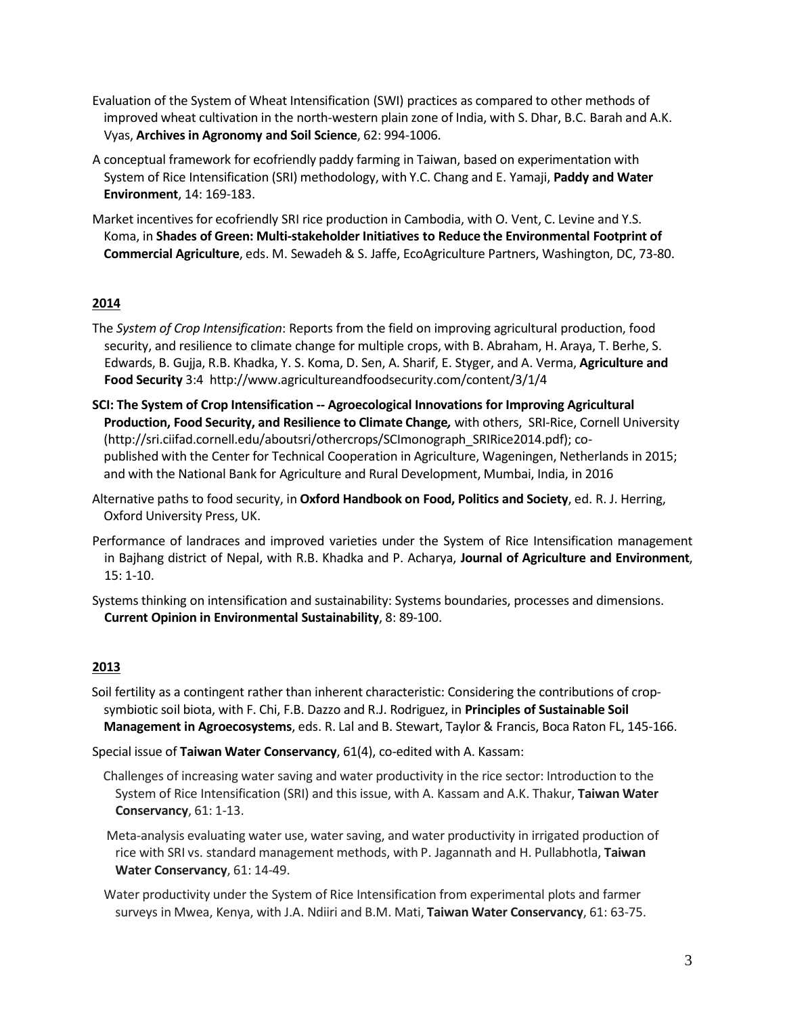- Evaluation of the System of Wheat Intensification (SWI) practices as compared to other methods of improved wheat cultivation in the north-western plain zone of India, with S. Dhar, B.C. Barah and A.K. Vyas, **Archivesin Agronomy and Soil Science**, 62: 994-1006.
- A conceptual framework for ecofriendly paddy farming in Taiwan, based on experimentation with System of Rice Intensification (SRI) methodology, with Y.C. Chang and E. Yamaji, **Paddy and Water Environment**, 14: 169-183.
- Market incentives for ecofriendly SRI rice production in Cambodia, with O. Vent, C. Levine and Y.S. Koma, in **Shades of Green: Multi-stakeholder Initiatives to Reduce the Environmental Footprint of Commercial Agriculture**, eds. M. Sewadeh & S. Jaffe, EcoAgriculture Partners, Washington, DC, 73-80.

- The *System of Crop Intensification*: Reports from the field on improving agricultural production, food security, and resilience to climate change for multiple crops, with B. Abraham, H. Araya, T. Berhe, S. Edwards, B. Gujja, R.B. Khadka, Y. S. Koma, D. Sen, A. Sharif, E. Styger, and A. Verma, **Agriculture and Food Security** 3:4 <http://www.agricultureandfoodsecurity.com/content/3/1/4>
- **SCI: The System of Crop Intensification -- Agroecological Innovations for Improving Agricultural Production, Food Security, and Resilience to Climate Change***,* with others, SRI-Rice, Cornell University [\(http://sri.ciifad.cornell.edu/aboutsri/othercrops/SCImonograph\\_SRIRice2014.pdf\);](http://sri.ciifad.cornell.edu/aboutsri/othercrops/SCImonograph_SRIRice2014.pdf)%3B) copublished with the Center for Technical Cooperation in Agriculture, Wageningen, Netherlands in 2015; and with the National Bank for Agriculture and Rural Development, Mumbai, India, in 2016
- Alternative paths to food security, in **Oxford Handbook on Food, Politics and Society**, ed. R. J. Herring, Oxford University Press, UK.
- Performance of landraces and improved varieties under the System of Rice Intensification management in Bajhang district of Nepal, with R.B. Khadka and P. Acharya, **Journal of Agriculture and Environment**, 15: 1-10.
- Systems thinking on intensification and sustainability: Systems boundaries, processes and dimensions. **Current Opinion in Environmental Sustainability**, 8: 89-100.

## **2013**

Soil fertility as a contingent rather than inherent characteristic: Considering the contributions of cropsymbiotic soil biota, with F. Chi, F.B. Dazzo and R.J. Rodriguez, in **Principles of Sustainable Soil Management in Agroecosystems**, eds. R. Lal and B. Stewart, Taylor & Francis, Boca Raton FL, 145-166.

Special issue of **Taiwan Water Conservancy**, 61(4), co-edited with A. Kassam:

- Challenges of increasing water saving and water productivity in the rice sector: Introduction to the System of Rice Intensification (SRI) and this issue, with A. Kassam and A.K. Thakur, **Taiwan Water Conservancy**, 61: 1-13.
- Meta-analysis evaluating water use, water saving, and water productivity in irrigated production of rice with SRI vs. standard management methods, with P. Jagannath and H. Pullabhotla, **Taiwan Water Conservancy**, 61: 14-49.
- Water productivity under the System of Rice Intensification from experimental plots and farmer surveys in Mwea, Kenya, with J.A. Ndiiri and B.M. Mati, **Taiwan Water Conservancy**, 61: 63-75.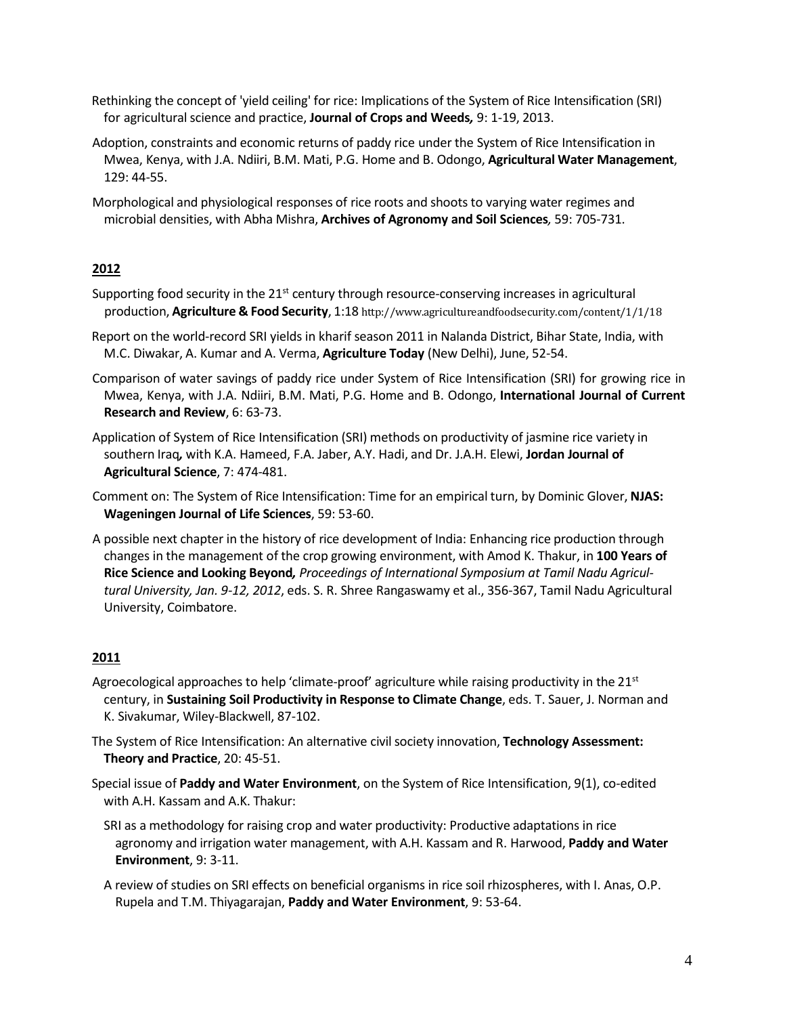Rethinking the concept of 'yield ceiling' for rice: Implications of the System of Rice Intensification (SRI) for agricultural science and practice, **Journal of Crops and Weeds***,* 9: 1-19, 2013.

Adoption, constraints and economic returns of paddy rice under the System of Rice Intensification in Mwea, Kenya, with J.A. Ndiiri, B.M. Mati, P.G. Home and B. Odongo, **Agricultural Water Management**, 129: 44-55.

Morphological and physiological responses of rice roots and shoots to varying water regimes and microbial densities, with Abha Mishra, **Archives of Agronomy and Soil Sciences***,* 59: 705-731.

## **2012**

- Supporting food security in the  $21<sup>st</sup>$  century through resource-conserving increases in agricultural production, **Agriculture & Food Security**, 1:18 <http://www.agricultureandfoodsecurity.com/content/1/1/18>
- Report on the world-record SRI yields in kharif season 2011 in Nalanda District, Bihar State, India, with M.C. Diwakar, A. Kumar and A. Verma, **Agriculture Today** (New Delhi), June, 52-54.
- Comparison of water savings of paddy rice under System of Rice Intensification (SRI) for growing rice in Mwea, Kenya, with J.A. Ndiiri, B.M. Mati, P.G. Home and B. Odongo, **International Journal of Current Research and Review**, 6: 63-73.
- Application of System of Rice Intensification (SRI) methods on productivity of jasmine rice variety in southern Iraq*,* with K.A. Hameed, F.A. Jaber, A.Y. Hadi, and Dr. J.A.H. Elewi, **Jordan Journal of Agricultural Science**, 7: 474-481.
- Comment on: The System of Rice Intensification: Time for an empirical turn, by Dominic Glover, **NJAS: Wageningen Journal of Life Sciences**, 59: 53-60.
- A possible next chapter in the history of rice development of India: Enhancing rice production through changes in the management of the crop growing environment, with Amod K. Thakur, in **100 Years of Rice Science and Looking Beyond***, Proceedings of International Symposium at Tamil Nadu Agricultural University, Jan. 9-12, 2012*, eds. S. R. Shree Rangaswamy et al., 356-367, Tamil Nadu Agricultural University, Coimbatore.

## **2011**

- Agroecological approaches to help 'climate-proof' agriculture while raising productivity in the  $21<sup>st</sup>$ century, in **Sustaining Soil Productivity in Response to Climate Change**, eds. T. Sauer, J. Norman and K. Sivakumar, Wiley-Blackwell, 87-102.
- The System of Rice Intensification: An alternative civilsociety innovation, **Technology Assessment: Theory and Practice**, 20: 45-51.
- Special issue of **Paddy and Water Environment**, on the System of Rice Intensification, 9(1), co-edited with A.H. Kassam and A.K. Thakur:
	- SRI as a methodology for raising crop and water productivity: Productive adaptations in rice agronomy and irrigation water management, with A.H. Kassam and R. Harwood, **Paddy and Water Environment**, 9: 3-11.
	- A review of studies on SRI effects on beneficial organisms in rice soil rhizospheres, with I. Anas, O.P. Rupela and T.M. Thiyagarajan, **Paddy and Water Environment**, 9: 53-64.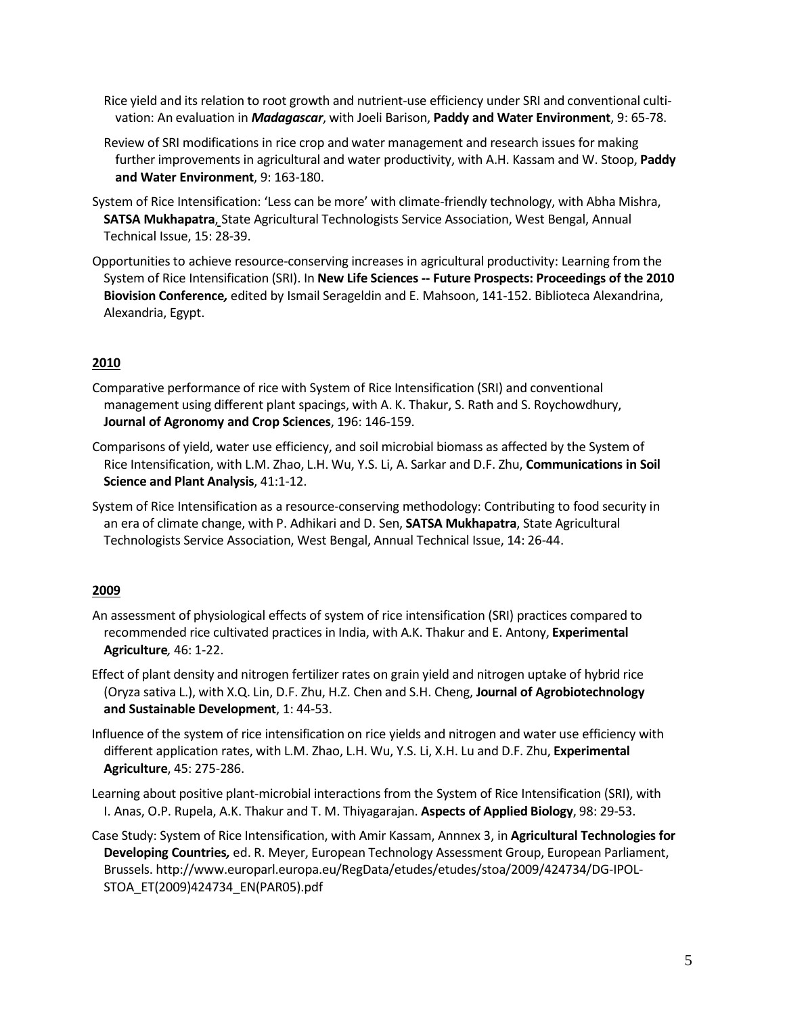Rice yield and its relation to root growth and nutrient-use efficiency under SRI and conventional cultivation: An evaluation in *Madagascar*, with Joeli Barison, **Paddy and Water Environment**, 9: 65-78.

Review of SRI modifications in rice crop and water management and research issues for making further improvements in agricultural and water productivity, with A.H. Kassam and W. Stoop, **Paddy and Water Environment**, 9: 163-180.

- System of Rice Intensification: 'Less can be more' with climate-friendly technology, with Abha Mishra, **SATSA Mukhapatra**, State Agricultural Technologists Service Association, West Bengal, Annual Technical Issue, 15: 28-39.
- Opportunities to achieve resource-conserving increases in agricultural productivity: Learning from the System of Rice Intensification (SRI). In **New Life Sciences -- Future Prospects: Proceedings of the 2010 Biovision Conference***,* edited by Ismail Serageldin and E. Mahsoon, 141-152. Biblioteca Alexandrina, Alexandria, Egypt.

## **2010**

- Comparative performance of rice with System of Rice Intensification (SRI) and conventional management using different plant spacings, with A. K. Thakur, S. Rath and S. Roychowdhury, **Journal of Agronomy and Crop Sciences**, 196: 146-159.
- Comparisons of yield, water use efficiency, and soil microbial biomass as affected by the System of Rice Intensification, with L.M. Zhao, L.H. Wu, Y.S. Li, A. Sarkar and D.F. Zhu, **Communications in Soil Science and Plant Analysis**, 41:1-12.
- System of Rice Intensification as a resource-conserving methodology: Contributing to food security in an era of climate change, with P. Adhikari and D. Sen, **SATSA Mukhapatra**, State Agricultural Technologists Service Association, West Bengal, Annual Technical Issue, 14: 26-44.

## **2009**

- An assessment of physiological effects of system of rice intensification (SRI) practices compared to recommended rice cultivated practices in India, with A.K. Thakur and E. Antony, **Experimental Agriculture***,* 46: 1-22.
- Effect of plant density and nitrogen fertilizer rates on grain yield and nitrogen uptake of hybrid rice (Oryza sativa L.), with X.Q. Lin, D.F. Zhu, H.Z. Chen and S.H. Cheng, **Journal of Agrobiotechnology and Sustainable Development**, 1: 44-53.
- Influence of the system of rice intensification on rice yields and nitrogen and water use efficiency with different application rates, with L.M. Zhao, L.H. Wu, Y.S. Li, X.H. Lu and D.F. Zhu, **Experimental Agriculture**, 45: 275-286.
- Learning about positive plant-microbial interactions from the System of Rice Intensification (SRI), with I. Anas, O.P. Rupela, A.K. Thakur and T. M. Thiyagarajan. **Aspects of Applied Biology**, 98: 29-53.
- Case Study: System of Rice Intensification, with Amir Kassam, Annnex 3, in **Agricultural Technologies for Developing Countries***,* ed. R. Meyer, European Technology Assessment Group, European Parliament, Brussels. <http://www.europarl.europa.eu/RegData/etudes/etudes/stoa/2009/424734/DG-IPOL->STOA\_ET(2009)424734\_EN(PAR05).pdf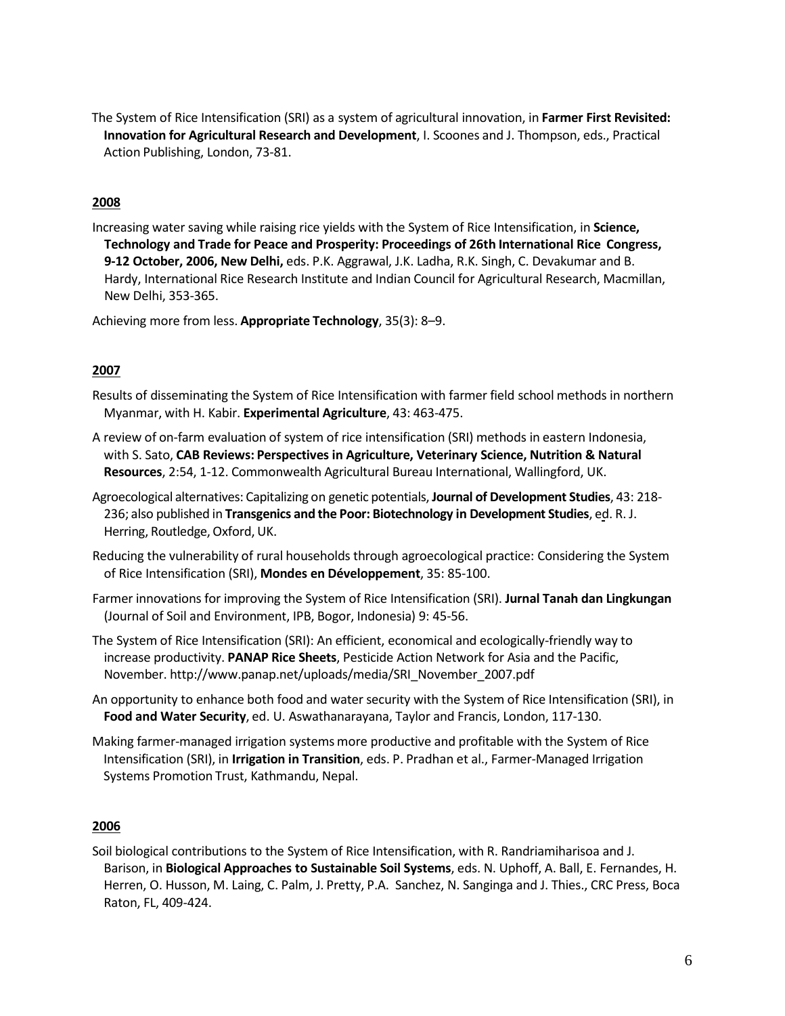The System of Rice Intensification (SRI) as a system of agricultural innovation, in **Farmer First Revisited: Innovation for Agricultural Research and Development**, I. Scoones and J. Thompson, eds., Practical Action Publishing, London, 73-81.

### **2008**

Increasing water saving while raising rice yields with the System of Rice Intensification, in **Science, Technology and Trade for Peace and Prosperity: Proceedings of 26th International Rice Congress, 9-12 October, 2006, New Delhi,** eds. P.K. Aggrawal, J.K. Ladha, R.K. Singh, C. Devakumar and B. Hardy, International Rice Research Institute and Indian Council for Agricultural Research, Macmillan, New Delhi, 353-365.

Achieving more from less. **Appropriate Technology**, 35(3): 8–9.

### **2007**

- Results of disseminating the System of Rice Intensification with farmer field school methods in northern Myanmar, with H. Kabir. **Experimental Agriculture**, 43: 463-475.
- A review of on-farm evaluation of system of rice intensification (SRI) methods in eastern Indonesia, with S. Sato, **CAB Reviews: Perspectives in Agriculture, Veterinary Science, Nutrition & Natural Resources**, 2:54, 1-12. Commonwealth Agricultural Bureau International, Wallingford, UK.
- Agroecological alternatives: Capitalizing on genetic potentials, **Journal of Development Studies**, 43: 218- 236; also published in **Transgenics and the Poor: Biotechnology in Development Studies**, ed. R. J. Herring, Routledge, Oxford, UK.
- Reducing the vulnerability of rural households through agroecological practice: Considering the System of Rice Intensification (SRI), **Mondes en Développement**, 35: 85-100.
- Farmer innovations for improving the System of Rice Intensification (SRI). **Jurnal Tanah dan Lingkungan** (Journal of Soil and Environment, IPB, Bogor, Indonesia) 9: 45-56.
- The System of Rice Intensification (SRI): An efficient, economical and ecologically-friendly way to increase productivity. **PANAP Rice Sheets**, Pesticide Action Network for Asia and the Pacific, November. [http://www.panap.net/uploads/media/SRI\\_November\\_2007.pdf](http://www.panap.net/uploads/media/SRI_November_2007.pdf)
- An opportunity to enhance both food and watersecurity with the System of Rice Intensification (SRI), in **Food and Water Security**, ed. U. Aswathanarayana, Taylor and Francis, London, 117-130.
- Making farmer-managed irrigation systems more productive and profitable with the System of Rice Intensification (SRI), in **Irrigation in Transition**, eds. P. Pradhan et al., Farmer-Managed Irrigation Systems Promotion Trust, Kathmandu, Nepal.

#### **2006**

Soil biological contributions to the System of Rice Intensification, with R. Randriamiharisoa and J. Barison, in **Biological Approaches to Sustainable Soil Systems**, eds. N. Uphoff, A. Ball, E. Fernandes, H. Herren, O. Husson, M. Laing, C. Palm, J. Pretty, P.A. Sanchez, N. Sanginga and J. Thies., CRC Press, Boca Raton, FL, 409-424.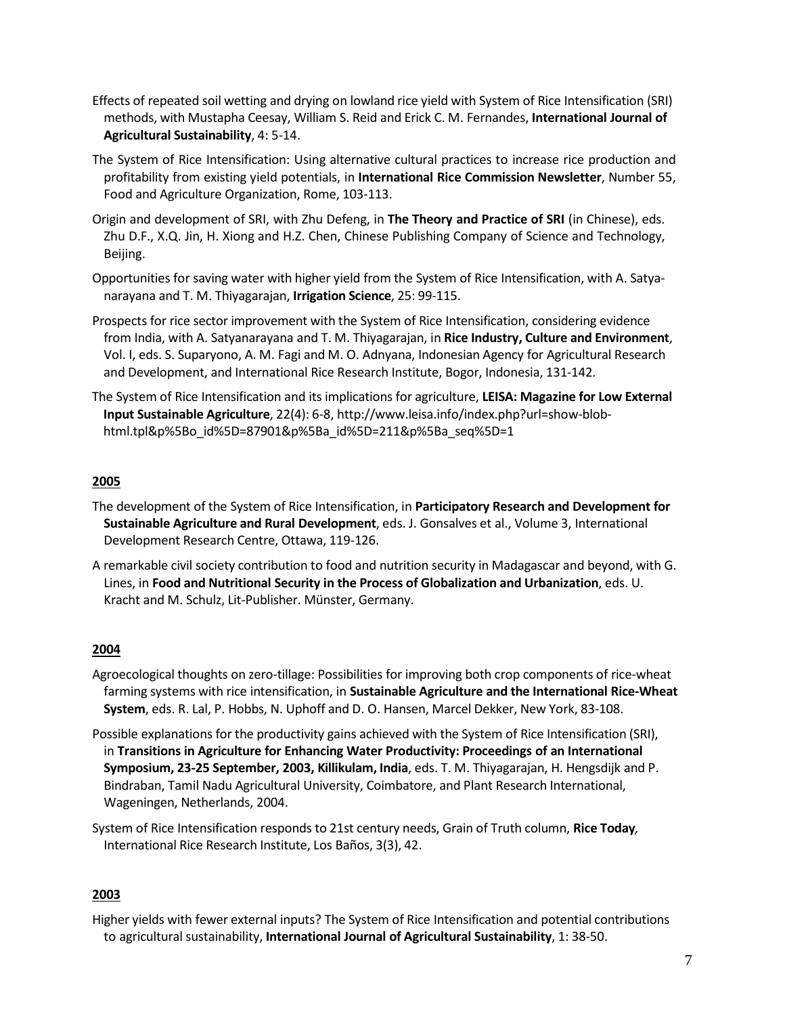- Effects of repeated soil wetting and drying on lowland rice yield with System of Rice Intensification (SRI) methods, with Mustapha Ceesay, William S. Reid and Erick C. M. Fernandes, **International Journal of Agricultural Sustainability**, 4: 5-14.
- The System of Rice Intensification: Using alternative cultural practices to increase rice production and profitability from existing yield potentials, in **International Rice Commission Newsletter**, Number 55, Food and Agriculture Organization, Rome, 103-113.
- Origin and development of SRI, with Zhu Defeng, in **The Theory and Practice of SRI** (in Chinese), eds. Zhu D.F., X.Q. Jin, H. Xiong and H.Z. Chen, Chinese Publishing Company of Science and Technology, Beijing.
- Opportunities for saving water with higher yield from the System of Rice Intensification, with A. Satyanarayana and T. M. Thiyagarajan, **Irrigation Science**, 25: 99-115.
- Prospects for rice sector improvement with the System of Rice Intensification, considering evidence from India, with A. Satyanarayana and T. M. Thiyagarajan, in **Rice Industry, Culture and Environment**, Vol. I, eds. S. Suparyono, A. M. Fagi and M. O. Adnyana, Indonesian Agency for Agricultural Research and Development, and International Rice Research Institute, Bogor, Indonesia, 131-142.
- The System of Rice Intensification and its implications for agriculture, **LEISA: Magazine for Low External Input Sustainable Agriculture**, 22(4): 6-8, [http://www.leisa.info/index.php?url=show-blob](http://www.leisa.info/index.php?url=show-blob-)html.tpl&p%5Bo\_id%5D=87901&p%5Ba\_id%5D=211&p%5Ba\_seq%5D=1

- The development of the System of Rice Intensification, in **Participatory Research and Development for Sustainable Agriculture and Rural Development**, eds. J. Gonsalves et al., Volume 3, International Development Research Centre, Ottawa, 119-126.
- A remarkable civil society contribution to food and nutrition security in Madagascar and beyond, with G. Lines, in **Food and Nutritional Security in the Process of Globalization and Urbanization**, eds. U. Kracht and M. Schulz, Lit-Publisher. Münster, Germany.

## **2004**

- Agroecological thoughts on zero-tillage: Possibilities for improving both crop components of rice-wheat farming systems with rice intensification, in **Sustainable Agriculture and the International Rice-Wheat System**, eds. R. Lal, P. Hobbs, N. Uphoff and D. O. Hansen, Marcel Dekker, New York, 83-108.
- Possible explanations for the productivity gains achieved with the System of Rice Intensification (SRI), in **Transitions in Agriculture for Enhancing Water Productivity: Proceedings of an International Symposium, 23-25 September, 2003, Killikulam, India**, eds. T. M. Thiyagarajan, H. Hengsdijk and P. Bindraban, Tamil Nadu Agricultural University, Coimbatore, and Plant Research International, Wageningen, Netherlands, 2004.
- System of Rice Intensification responds to 21st century needs, Grain of Truth column, **Rice Today***,* International Rice Research Institute, Los Baños, 3(3), 42.

## **2003**

Higher yields with fewer external inputs? The System of Rice Intensification and potential contributions to agricultural sustainability, **International Journal of Agricultural Sustainability**, 1: 38-50.